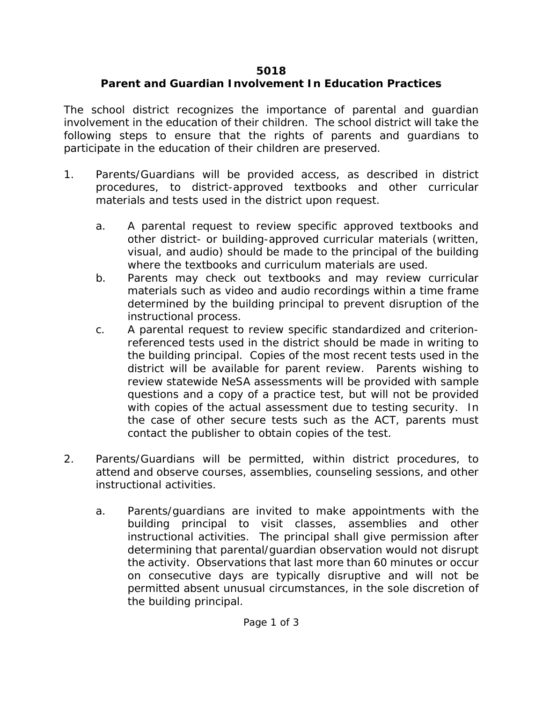## **5018**

## **Parent and Guardian Involvement In Education Practices**

The school district recognizes the importance of parental and guardian involvement in the education of their children. The school district will take the following steps to ensure that the rights of parents and guardians to participate in the education of their children are preserved.

- 1. Parents/Guardians will be provided access, as described in district procedures, to district-approved textbooks and other curricular materials and tests used in the district upon request.
	- a. A parental request to review specific approved textbooks and other district- or building-approved curricular materials (written, visual, and audio) should be made to the principal of the building where the textbooks and curriculum materials are used.
	- b. Parents may check out textbooks and may review curricular materials such as video and audio recordings within a time frame determined by the building principal to prevent disruption of the instructional process.
	- c. A parental request to review specific standardized and criterionreferenced tests used in the district should be made in writing to the building principal. Copies of the most recent tests used in the district will be available for parent review. Parents wishing to review statewide NeSA assessments will be provided with sample questions and a copy of a practice test, but will not be provided with copies of the actual assessment due to testing security. In the case of other secure tests such as the ACT, parents must contact the publisher to obtain copies of the test.
- 2. Parents/Guardians will be permitted, within district procedures, to attend and observe courses, assemblies, counseling sessions, and other instructional activities.
	- a. Parents/guardians are invited to make appointments with the building principal to visit classes, assemblies and other instructional activities. The principal shall give permission after determining that parental/guardian observation would not disrupt the activity. Observations that last more than 60 minutes or occur on consecutive days are typically disruptive and will not be permitted absent unusual circumstances, in the sole discretion of the building principal.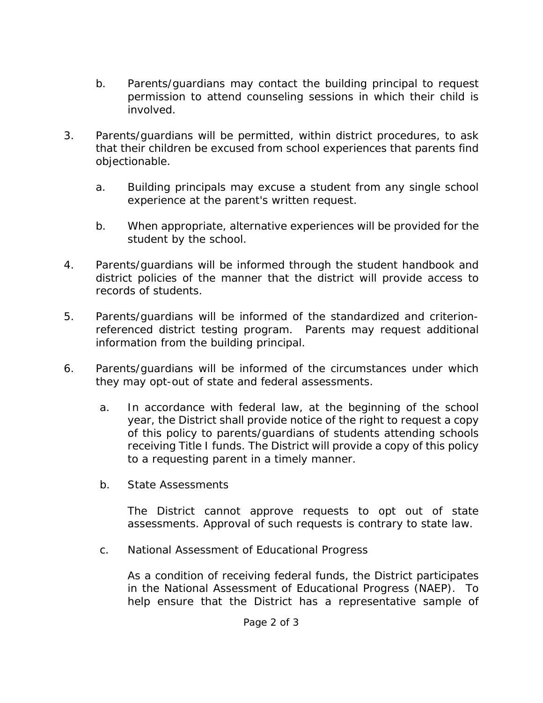- b. Parents/guardians may contact the building principal to request permission to attend counseling sessions in which their child is involved.
- 3. Parents/guardians will be permitted, within district procedures, to ask that their children be excused from school experiences that parents find objectionable.
	- a. Building principals may excuse a student from any single school experience at the parent's written request.
	- b. When appropriate, alternative experiences will be provided for the student by the school.
- 4. Parents/guardians will be informed through the student handbook and district policies of the manner that the district will provide access to records of students.
- 5. Parents/guardians will be informed of the standardized and criterionreferenced district testing program. Parents may request additional information from the building principal.
- 6. Parents/guardians will be informed of the circumstances under which they may opt-out of state and federal assessments.
	- a. In accordance with federal law, at the beginning of the school year, the District shall provide notice of the right to request a copy of this policy to parents/guardians of students attending schools receiving Title I funds. The District will provide a copy of this policy to a requesting parent in a timely manner.
	- b. State Assessments

The District cannot approve requests to opt out of state assessments. Approval of such requests is contrary to state law.

c. National Assessment of Educational Progress

As a condition of receiving federal funds, the District participates in the National Assessment of Educational Progress (NAEP). To help ensure that the District has a representative sample of